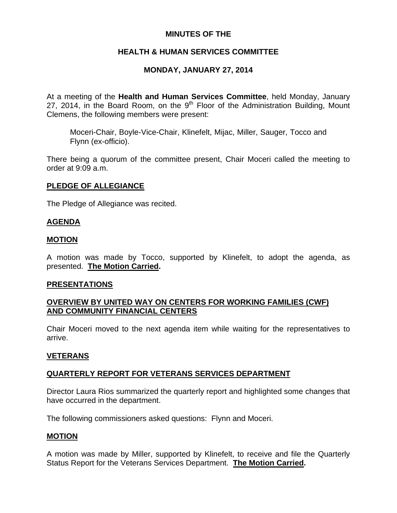## **MINUTES OF THE**

## **HEALTH & HUMAN SERVICES COMMITTEE**

## **MONDAY, JANUARY 27, 2014**

At a meeting of the **Health and Human Services Committee**, held Monday, January 27, 2014, in the Board Room, on the  $9<sup>th</sup>$  Floor of the Administration Building, Mount Clemens, the following members were present:

Moceri-Chair, Boyle-Vice-Chair, Klinefelt, Mijac, Miller, Sauger, Tocco and Flynn (ex-officio).

There being a quorum of the committee present, Chair Moceri called the meeting to order at 9:09 a.m.

### **PLEDGE OF ALLEGIANCE**

The Pledge of Allegiance was recited.

### **AGENDA**

#### **MOTION**

A motion was made by Tocco, supported by Klinefelt, to adopt the agenda, as presented. **The Motion Carried.** 

#### **PRESENTATIONS**

## **OVERVIEW BY UNITED WAY ON CENTERS FOR WORKING FAMILIES (CWF) AND COMMUNITY FINANCIAL CENTERS**

Chair Moceri moved to the next agenda item while waiting for the representatives to arrive.

### **VETERANS**

### **QUARTERLY REPORT FOR VETERANS SERVICES DEPARTMENT**

Director Laura Rios summarized the quarterly report and highlighted some changes that have occurred in the department.

The following commissioners asked questions: Flynn and Moceri.

### **MOTION**

A motion was made by Miller, supported by Klinefelt, to receive and file the Quarterly Status Report for the Veterans Services Department. **The Motion Carried.**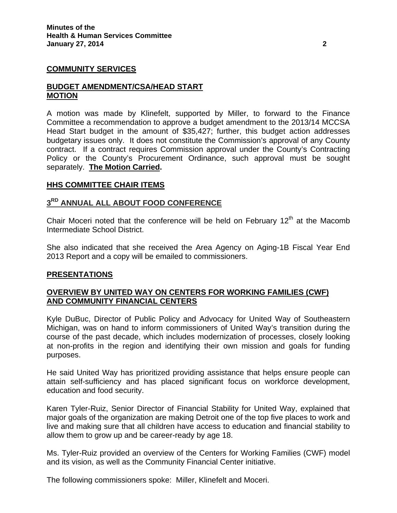### **COMMUNITY SERVICES**

### **BUDGET AMENDMENT/CSA/HEAD START MOTION**

A motion was made by Klinefelt, supported by Miller, to forward to the Finance Committee a recommendation to approve a budget amendment to the 2013/14 MCCSA Head Start budget in the amount of \$35,427; further, this budget action addresses budgetary issues only. It does not constitute the Commission's approval of any County contract. If a contract requires Commission approval under the County's Contracting Policy or the County's Procurement Ordinance, such approval must be sought separately. **The Motion Carried.** 

### **HHS COMMITTEE CHAIR ITEMS**

## **3RD ANNUAL ALL ABOUT FOOD CONFERENCE**

Chair Moceri noted that the conference will be held on February  $12<sup>th</sup>$  at the Macomb Intermediate School District.

She also indicated that she received the Area Agency on Aging-1B Fiscal Year End 2013 Report and a copy will be emailed to commissioners.

### **PRESENTATIONS**

## **OVERVIEW BY UNITED WAY ON CENTERS FOR WORKING FAMILIES (CWF) AND COMMUNITY FINANCIAL CENTERS**

Kyle DuBuc, Director of Public Policy and Advocacy for United Way of Southeastern Michigan, was on hand to inform commissioners of United Way's transition during the course of the past decade, which includes modernization of processes, closely looking at non-profits in the region and identifying their own mission and goals for funding purposes.

He said United Way has prioritized providing assistance that helps ensure people can attain self-sufficiency and has placed significant focus on workforce development, education and food security.

Karen Tyler-Ruiz, Senior Director of Financial Stability for United Way, explained that major goals of the organization are making Detroit one of the top five places to work and live and making sure that all children have access to education and financial stability to allow them to grow up and be career-ready by age 18.

Ms. Tyler-Ruiz provided an overview of the Centers for Working Families (CWF) model and its vision, as well as the Community Financial Center initiative.

The following commissioners spoke: Miller, Klinefelt and Moceri.